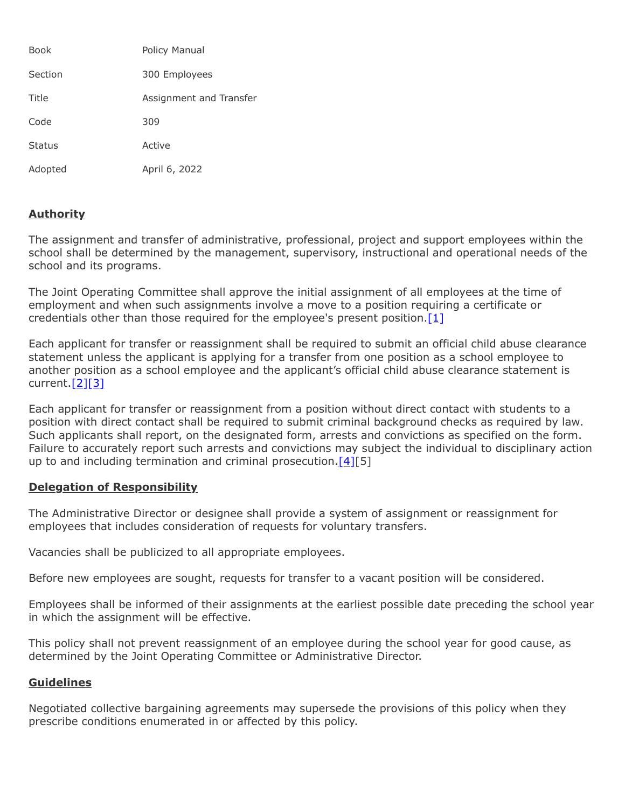| <b>Book</b>   | Policy Manual           |
|---------------|-------------------------|
| Section       | 300 Employees           |
| Title         | Assignment and Transfer |
| Code          | 309                     |
| <b>Status</b> | Active                  |
| Adopted       | April 6, 2022           |

## **Authority**

The assignment and transfer of administrative, professional, project and support employees within the school shall be determined by the management, supervisory, instructional and operational needs of the school and its programs.

The Joint Operating Committee shall approve the initial assignment of all employees at the time of employment and when such assignments involve a move to a position requiring a certificate or credentials other than those required for the employee's present position.  $[1]$ 

Each applicant for transfer or reassignment shall be required to submit an official child abuse clearance statement unless the applicant is applying for a transfer from one position as a school employee to another position as a school employee and the applicant's official child abuse clearance statement is current.[\[2\]](http://www.legis.state.pa.us/cfdocs/legis/LI/consCheck.cfm?txtType=HTM&ttl=23&div=0&chpt=63&sctn=44&subsctn=3)[\[3\]](http://www.legis.state.pa.us/cfdocs/legis/LI/consCheck.cfm?txtType=HTM&ttl=23&div=0&chpt=63&sctn=44&subsctn=4)

Each applicant for transfer or reassignment from a position without direct contact with students to a position with direct contact shall be required to submit criminal background checks as required by law. Such applicants shall report, on the designated form, arrests and convictions as specified on the form. Failure to accurately report such arrests and convictions may subject the individual to disciplinary action up to and including termination and criminal prosecution.  $[4][5]$  $[4][5]$ 

## **Delegation of Responsibility**

The Administrative Director or designee shall provide a system of assignment or reassignment for employees that includes consideration of requests for voluntary transfers.

Vacancies shall be publicized to all appropriate employees.

Before new employees are sought, requests for transfer to a vacant position will be considered.

Employees shall be informed of their assignments at the earliest possible date preceding the school year in which the assignment will be effective.

This policy shall not prevent reassignment of an employee during the school year for good cause, as determined by the Joint Operating Committee or Administrative Director.

## **Guidelines**

Negotiated collective bargaining agreements may supersede the provisions of this policy when they prescribe conditions enumerated in or affected by this policy.